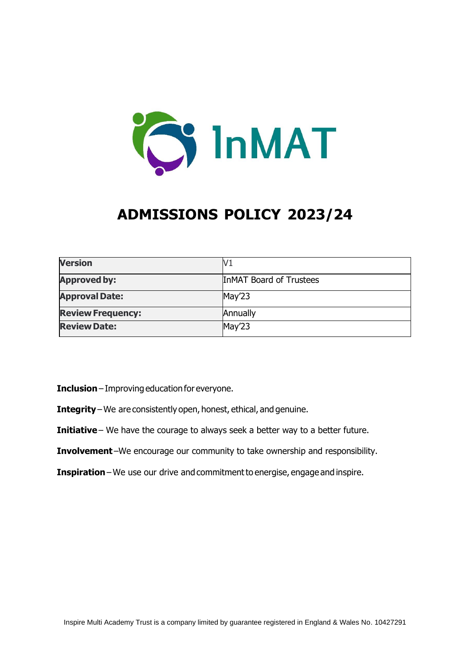

# **ADMISSIONS POLICY 2023/24**

| <b>Version</b>           | V1                             |
|--------------------------|--------------------------------|
| <b>Approved by:</b>      | <b>InMAT Board of Trustees</b> |
| <b>Approval Date:</b>    | May'23                         |
| <b>Review Frequency:</b> | Annually                       |
| <b>Review Date:</b>      | May'23                         |

**Inclusion**– Improving education for everyone.  

- **Integrity**– We are consistently open, honest, ethical, and genuine.
- **Initiative** We have the courage to always seek a better way to a better future.
- **Involvement**–We encourage our community to take ownership and responsibility.
- **Inspiration** We use our drive and commitment to energise, engage and inspire.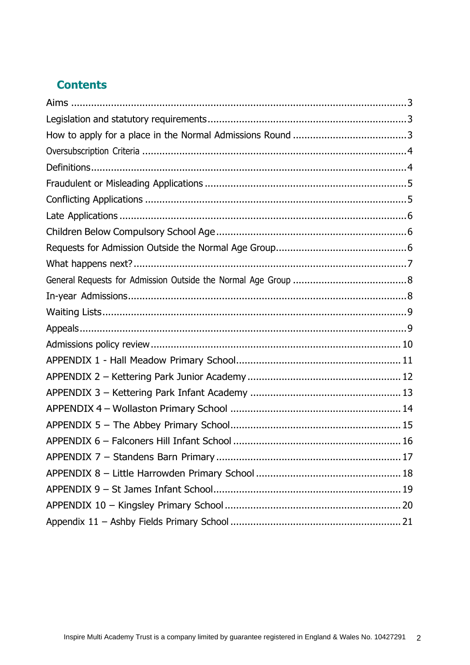## **Contents**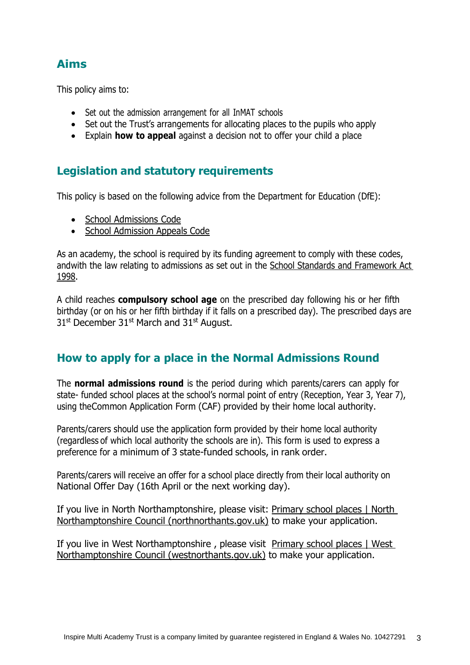### <span id="page-2-0"></span>**Aims**

This policy aims to:

- Set out the admission arrangement for all InMAT schools
- Set out the Trust's arrangements for allocating places to the pupils who apply
- Explain **how to appeal** against a decision not to offer your child a place

### <span id="page-2-1"></span>**Legislation and statutory requirements**

This policy is based on the following advice from the Department for Education (DfE):

- **School [Admissions](https://www.gov.uk/government/publications/school-admissions-code--2) Code**
- School [Admission](https://www.gov.uk/government/publications/school-admissions-appeals-code) Appeals Code

As an academy, the school is required by its funding agreement to comply with these codes, andwith the law relating to admissions as set out in the School Standards and [Framework](http://www.legislation.gov.uk/ukpga/1998/31/contents) Act [1998.](http://www.legislation.gov.uk/ukpga/1998/31/contents)

A child reaches **compulsory school age** on the prescribed day following his or her fifth birthday (or on his or her fifth birthday if it falls on a prescribed day). The prescribed days are 31<sup>st</sup> December 31<sup>st</sup> March and 31<sup>st</sup> August.

### <span id="page-2-2"></span>**How to apply for a place in the Normal Admissions Round**

The **normal admissions round** is the period during which parents/carers can apply for state- funded school places at the school's normal point of entry (Reception, Year 3, Year 7), using theCommon Application Form (CAF) provided by their home local authority.

Parents/carers should use the application form provided by their home local authority (regardless of which local authority the schools are in). This form is used to express a preference for a minimum of 3 state-funded schools, in rank order.

Parents/carers will receive an offer for a school place directly from their local authority on National Offer Day (16th April or the next working day).

If you live in North Northamptonshire, please visit: [Primary school places | North](https://www.northnorthants.gov.uk/primary-school-places)  [Northamptonshire Council \(northnorthants.gov.uk\)](https://www.northnorthants.gov.uk/primary-school-places) to make your application.

If you live in West Northamptonshire, please visit Primary school places | West [Northamptonshire Council \(westnorthants.gov.uk\)](https://www.westnorthants.gov.uk/primary-school-places) to make your application.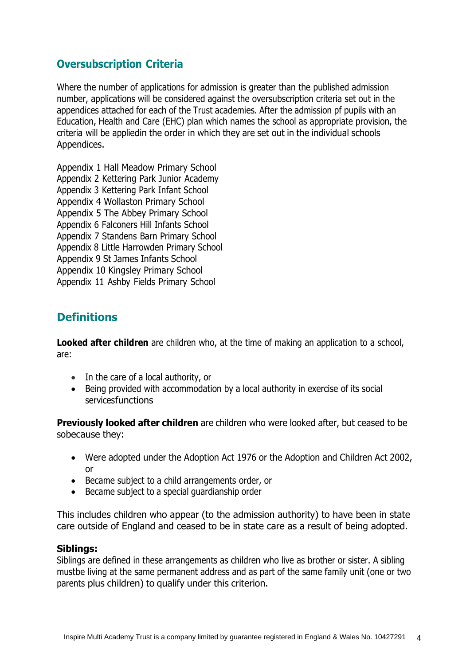### <span id="page-3-0"></span>**Oversubscription Criteria**

Where the number of applications for admission is greater than the published admission number, applications will be considered against the oversubscription criteria set out in the appendices attached for each of the Trust academies. After the admission pf pupils with an Education, Health and Care (EHC) plan which names the school as appropriate provision, the criteria will be appliedin the order in which they are set out in the individual schools Appendices.

Appendix 1 Hall Meadow Primary School Appendix 2 Kettering Park Junior Academy Appendix 3 Kettering Park Infant School Appendix 4 Wollaston Primary School Appendix 5 The Abbey Primary School Appendix 6 Falconers Hill Infants School Appendix 7 Standens Barn Primary School Appendix 8 Little Harrowden Primary School Appendix 9 St James Infants School Appendix 10 Kingsley Primary School Appendix 11 Ashby Fields Primary School

### <span id="page-3-1"></span>**Definitions**

**Looked after children** are children who, at the time of making an application to a school, are:

- In the care of a local authority, or
- Being provided with accommodation by a local authority in exercise of its social servicesfunctions

**Previously looked after children** are children who were looked after, but ceased to be sobecause they:

- Were adopted under the Adoption Act 1976 or the Adoption and Children Act 2002, or
- Became subject to a child arrangements order, or
- Became subject to a special guardianship order

This includes children who appear (to the admission authority) to have been in state care outside of England and ceased to be in state care as a result of being adopted.

#### **Siblings:**

Siblings are defined in these arrangements as children who live as brother or sister. A sibling mustbe living at the same permanent address and as part of the same family unit (one or two parents plus children) to qualify under this criterion.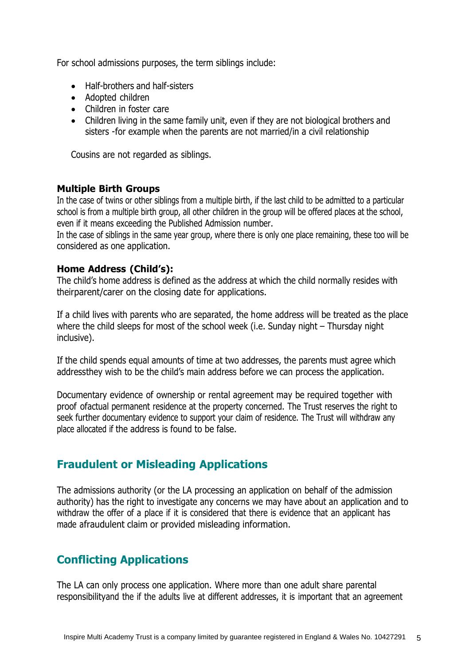For school admissions purposes, the term siblings include:

- Half-brothers and half-sisters
- Adopted children
- Children in foster care
- Children living in the same family unit, even if they are not biological brothers and sisters -for example when the parents are not married/in a civil relationship

Cousins are not regarded as siblings.

#### **Multiple Birth Groups**

In the case of twins or other siblings from a multiple birth, if the last child to be admitted to a particular school is from a multiple birth group, all other children in the group will be offered places at the school, even if it means exceeding the Published Admission number.

In the case of siblings in the same year group, where there is only one place remaining, these too will be considered as one application.

#### **Home Address (Child's):**

The child's home address is defined as the address at which the child normally resides with theirparent/carer on the closing date for applications.

If a child lives with parents who are separated, the home address will be treated as the place where the child sleeps for most of the school week (i.e. Sunday night – Thursday night inclusive).

If the child spends equal amounts of time at two addresses, the parents must agree which addressthey wish to be the child's main address before we can process the application.

Documentary evidence of ownership or rental agreement may be required together with proof ofactual permanent residence at the property concerned. The Trust reserves the right to seek further documentary evidence to support your claim of residence. The Trust will withdraw any place allocated if the address is found to be false.

### <span id="page-4-0"></span>**Fraudulent or Misleading Applications**

The admissions authority (or the LA processing an application on behalf of the admission authority) has the right to investigate any concerns we may have about an application and to withdraw the offer of a place if it is considered that there is evidence that an applicant has made afraudulent claim or provided misleading information.

### <span id="page-4-1"></span>**Conflicting Applications**

The LA can only process one application. Where more than one adult share parental responsibilityand the if the adults live at different addresses, it is important that an agreement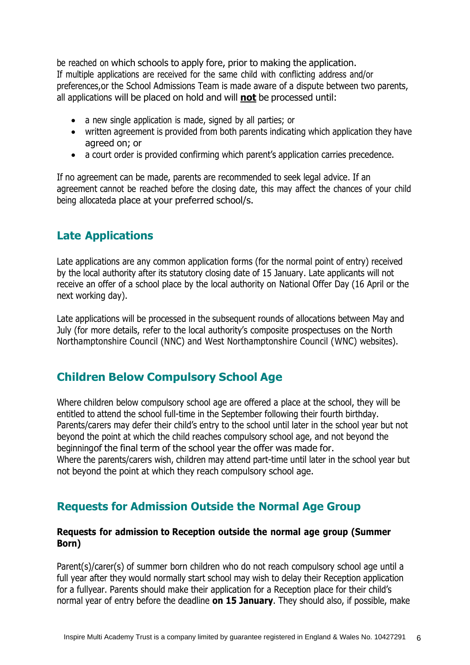be reached on which schools to apply fore, prior to making the application. If multiple applications are received for the same child with conflicting address and/or preferences,or the School Admissions Team is made aware of a dispute between two parents, all applications will be placed on hold and will **not** be processed until:

- a new single application is made, signed by all parties; or
- written agreement is provided from both parents indicating which application they have agreed on; or
- a court order is provided confirming which parent's application carries precedence.

If no agreement can be made, parents are recommended to seek legal advice. If an agreement cannot be reached before the closing date, this may affect the chances of your child being allocateda place at your preferred school/s.

### <span id="page-5-0"></span>**Late Applications**

Late applications are any common application forms (for the normal point of entry) received by the local authority after its statutory closing date of 15 January. Late applicants will not receive an offer of a school place by the local authority on National Offer Day (16 April or the next working day).

Late applications will be processed in the subsequent rounds of allocations between May and July (for more details, refer to the local authority's composite prospectuses on the North Northamptonshire Council (NNC) and West Northamptonshire Council (WNC) websites).

### <span id="page-5-1"></span>**Children Below Compulsory School Age**

Where children below compulsory school age are offered a place at the school, they will be entitled to attend the school full-time in the September following their fourth birthday. Parents/carers may defer their child's entry to the school until later in the school year but not beyond the point at which the child reaches compulsory school age, and not beyond the beginningof the final term of the school year the offer was made for. Where the parents/carers wish, children may attend part-time until later in the school year but not beyond the point at which they reach compulsory school age.

### <span id="page-5-2"></span>**Requests for Admission Outside the Normal Age Group**

#### **Requests for admission to Reception outside the normal age group (Summer Born)**

Parent(s)/carer(s) of summer born children who do not reach compulsory school age until a full year after they would normally start school may wish to delay their Reception application for a fullyear. Parents should make their application for a Reception place for their child's normal year of entry before the deadline **on 15 January**. They should also, if possible, make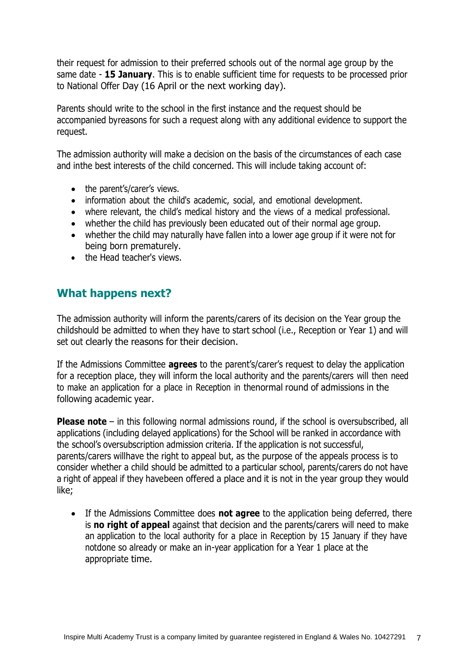their request for admission to their preferred schools out of the normal age group by the same date - **15 January**. This is to enable sufficient time for requests to be processed prior to National Offer Day (16 April or the next working day).

Parents should write to the school in the first instance and the request should be accompanied byreasons for such a request along with any additional evidence to support the request.

The admission authority will make a decision on the basis of the circumstances of each case and inthe best interests of the child concerned. This will include taking account of:

- the parent's/carer's views.
- information about the child's academic, social, and emotional development.
- where relevant, the child's medical history and the views of a medical professional.
- whether the child has previously been educated out of their normal age group.
- whether the child may naturally have fallen into a lower age group if it were not for being born prematurely.
- the Head teacher's views.

### <span id="page-6-0"></span>**What happens next?**

The admission authority will inform the parents/carers of its decision on the Year group the childshould be admitted to when they have to start school (i.e., Reception or Year 1) and will set out clearly the reasons for their decision.

If the Admissions Committee **agrees** to the parent's/carer's request to delay the application for a reception place, they will inform the local authority and the parents/carers will then need to make an application for a place in Reception in thenormal round of admissions in the following academic year.

**Please note** – in this following normal admissions round, if the school is oversubscribed, all applications (including delayed applications) for the School will be ranked in accordance with the school's oversubscription admission criteria. If the application is not successful, parents/carers willhave the right to appeal but, as the purpose of the appeals process is to consider whether a child should be admitted to a particular school, parents/carers do not have a right of appeal if they havebeen offered a place and it is not in the year group they would like;

• If the Admissions Committee does **not agree** to the application being deferred, there is **no right of appeal** against that decision and the parents/carers will need to make an application to the local authority for a place in Reception by 15 January if they have notdone so already or make an in-year application for a Year 1 place at the appropriate time.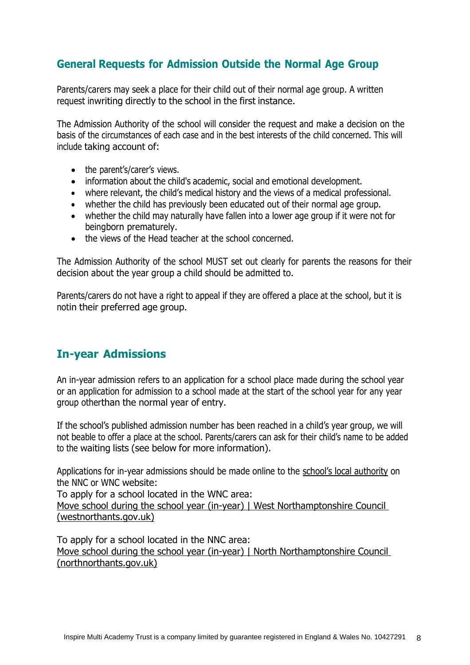### <span id="page-7-0"></span>**General Requests for Admission Outside the Normal Age Group**

Parents/carers may seek a place for their child out of their normal age group. A written request inwriting directly to the school in the first instance.

The Admission Authority of the school will consider the request and make a decision on the basis of the circumstances of each case and in the best interests of the child concerned. This will include taking account of:

- the parent's/carer's views.
- information about the child's academic, social and emotional development.
- where relevant, the child's medical history and the views of a medical professional.
- whether the child has previously been educated out of their normal age group.
- whether the child may naturally have fallen into a lower age group if it were not for beingborn prematurely.
- the views of the Head teacher at the school concerned.

The Admission Authority of the school MUST set out clearly for parents the reasons for their decision about the year group a child should be admitted to.

Parents/carers do not have a right to appeal if they are offered a place at the school, but it is notin their preferred age group.

### <span id="page-7-1"></span>**In-year Admissions**

An in-year admission refers to an application for a school place made during the school year or an application for admission to a school made at the start of the school year for any year group otherthan the normal year of entry.

If the school's published admission number has been reached in a child's year group, we will not beable to offer a place at the school. Parents/carers can ask for their child's name to be added to the waiting lists (see below for more information).

Applications for in-year admissions should be made online to the school's local authority on the NNC or WNC website:

To apply for a school located in the WNC area:

[Move school during the school year \(in-year\) | West Northamptonshire Council](https://www.westnorthants.gov.uk/move-school-during-school-year-year)  [\(westnorthants.gov.uk\)](https://www.westnorthants.gov.uk/move-school-during-school-year-year)

To apply for a school located in the NNC area: [Move school during the school year \(in-year\) | North Northamptonshire Council](https://www.northnorthants.gov.uk/move-school-during-school-year-year)  [\(northnorthants.gov.uk\)](https://www.northnorthants.gov.uk/move-school-during-school-year-year)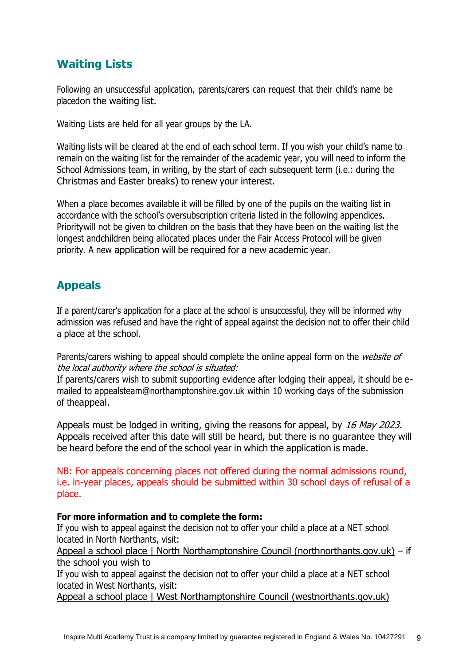### <span id="page-8-0"></span>**Waiting Lists**

Following an unsuccessful application, parents/carers can request that their child's name be placedon the waiting list.

Waiting Lists are held for all year groups by the LA.

Waiting lists will be cleared at the end of each school term. If you wish your child's name to remain on the waiting list for the remainder of the academic year, you will need to inform the School Admissions team, in writing, by the start of each subsequent term (i.e.: during the Christmas and Easter breaks) to renew your interest.

When a place becomes available it will be filled by one of the pupils on the waiting list in accordance with the school's oversubscription criteria listed in the following appendices. Prioritywill not be given to children on the basis that they have been on the waiting list the longest andchildren being allocated places under the Fair Access Protocol will be given priority. A new application will be required for a new academic year.

## <span id="page-8-1"></span>**Appeals**

If a parent/carer's application for a place at the school is unsuccessful, they will be informed why admission was refused and have the right of appeal against the decision not to offer their child a place at the school.

Parents/carers wishing to appeal should complete the online appeal form on the *website of* the local authority where the school is situated:

If parents/carers wish to submit supporting evidence after lodging their appeal, it should be emailed to [appealsteam@northamptonshire.gov.uk](mailto:appealsteam@northamptonshire.gov.uk) within 10 working days of the submission of theappeal.

Appeals must be lodged in writing, giving the reasons for appeal, by 16 May 2023. Appeals received after this date will still be heard, but there is no guarantee they will be heard before the end of the school year in which the application is made.

NB: For appeals concerning places not offered during the normal admissions round, i.e. in-year places, appeals should be submitted within 30 school days of refusal of a place.

#### **For more information and to complete the form:**

If you wish to appeal against the decision not to offer your child a place at a NET school located in North Northants, visit:

[Appeal a school place | North Northamptonshire Council \(northnorthants.gov.uk\)](https://www.northnorthants.gov.uk/school-admissions/appeal-school-place) – if the school you wish to

If you wish to appeal against the decision not to offer your child a place at a NET school located in West Northants, visit:

[Appeal a school place | West Northamptonshire Council \(westnorthants.gov.uk\)](https://www.westnorthants.gov.uk/school-admissions/appeal-school-place)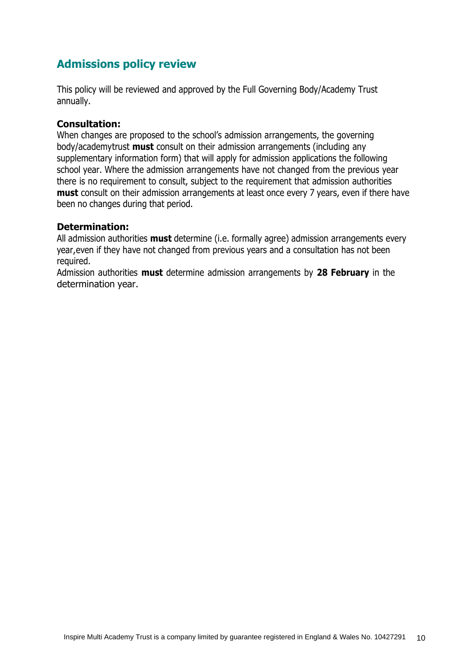## <span id="page-9-0"></span>**Admissions policy review**

This policy will be reviewed and approved by the Full Governing Body/Academy Trust annually.

#### **Consultation:**

When changes are proposed to the school's admission arrangements, the governing body/academytrust **must** consult on their admission arrangements (including any supplementary information form) that will apply for admission applications the following school year. Where the admission arrangements have not changed from the previous year there is no requirement to consult, subject to the requirement that admission authorities **must** consult on their admission arrangements at least once every 7 years, even if there have been no changes during that period.

#### **Determination:**

All admission authorities **must** determine (i.e. formally agree) admission arrangements every year,even if they have not changed from previous years and a consultation has not been required.

Admission authorities **must** determine admission arrangements by **28 February** in the determination year.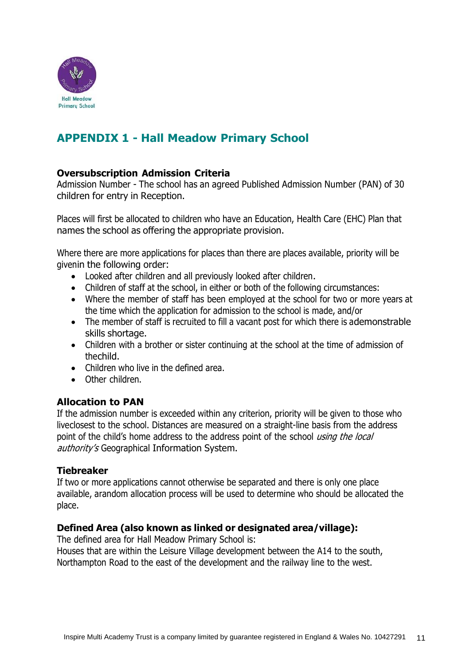

## <span id="page-10-0"></span>**APPENDIX 1 - Hall Meadow Primary School**

#### **Oversubscription Admission Criteria**

Admission Number - The school has an agreed Published Admission Number (PAN) of 30 children for entry in Reception.

Places will first be allocated to children who have an Education, Health Care (EHC) Plan that names the school as offering the appropriate provision.

Where there are more applications for places than there are places available, priority will be givenin the following order:

- Looked after children and all previously looked after children.
- Children of staff at the school, in either or both of the following circumstances:
- Where the member of staff has been employed at the school for two or more years at the time which the application for admission to the school is made, and/or
- The member of staff is recruited to fill a vacant post for which there is ademonstrable skills shortage.
- Children with a brother or sister continuing at the school at the time of admission of thechild.
- Children who live in the defined area.
- Other children.

#### **Allocation to PAN**

If the admission number is exceeded within any criterion, priority will be given to those who liveclosest to the school. Distances are measured on a straight-line basis from the address point of the child's home address to the address point of the school using the local authority's Geographical Information System.

#### **Tiebreaker**

If two or more applications cannot otherwise be separated and there is only one place available, arandom allocation process will be used to determine who should be allocated the place.

#### **Defined Area (also known as linked or designated area/village):**

The defined area for Hall Meadow Primary School is: Houses that are within the Leisure Village development between the A14 to the south, Northampton Road to the east of the development and the railway line to the west.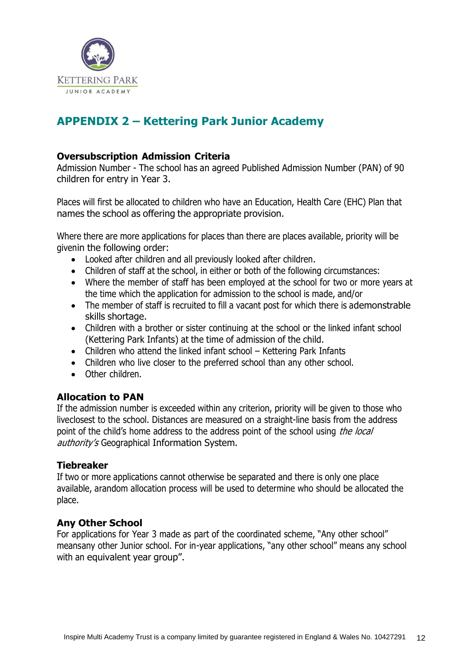

## <span id="page-11-0"></span>**APPENDIX 2 – Kettering Park Junior Academy**

#### **Oversubscription Admission Criteria**

Admission Number - The school has an agreed Published Admission Number (PAN) of 90 children for entry in Year 3.

Places will first be allocated to children who have an Education, Health Care (EHC) Plan that names the school as offering the appropriate provision.

Where there are more applications for places than there are places available, priority will be givenin the following order:

- Looked after children and all previously looked after children.
- Children of staff at the school, in either or both of the following circumstances:
- Where the member of staff has been employed at the school for two or more years at the time which the application for admission to the school is made, and/or
- The member of staff is recruited to fill a vacant post for which there is ademonstrable skills shortage.
- Children with a brother or sister continuing at the school or the linked infant school (Kettering Park Infants) at the time of admission of the child.
- Children who attend the linked infant school Kettering Park Infants
- Children who live closer to the preferred school than any other school.
- Other children.

#### **Allocation to PAN**

If the admission number is exceeded within any criterion, priority will be given to those who liveclosest to the school. Distances are measured on a straight-line basis from the address point of the child's home address to the address point of the school using the local authority's Geographical Information System.

#### **Tiebreaker**

If two or more applications cannot otherwise be separated and there is only one place available, arandom allocation process will be used to determine who should be allocated the place.

#### **Any Other School**

For applications for Year 3 made as part of the coordinated scheme, "Any other school" meansany other Junior school. For in-year applications, "any other school" means any school with an equivalent year group".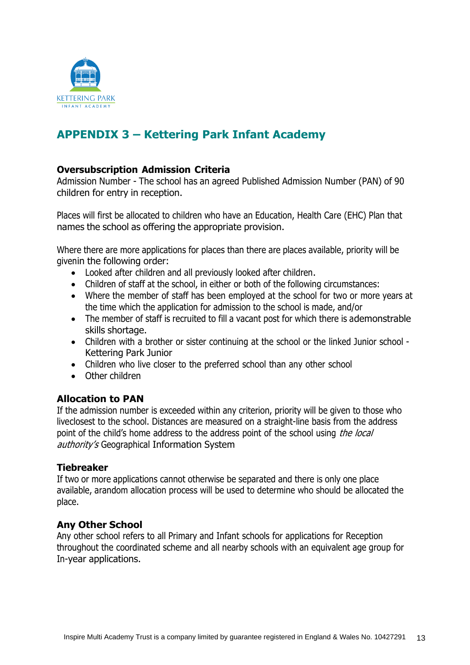

## <span id="page-12-0"></span>**APPENDIX 3 – Kettering Park Infant Academy**

#### **Oversubscription Admission Criteria**

Admission Number - The school has an agreed Published Admission Number (PAN) of 90 children for entry in reception.

Places will first be allocated to children who have an Education, Health Care (EHC) Plan that names the school as offering the appropriate provision.

Where there are more applications for places than there are places available, priority will be givenin the following order:

- Looked after children and all previously looked after children.
- Children of staff at the school, in either or both of the following circumstances:
- Where the member of staff has been employed at the school for two or more years at the time which the application for admission to the school is made, and/or
- The member of staff is recruited to fill a vacant post for which there is ademonstrable skills shortage.
- Children with a brother or sister continuing at the school or the linked Junior school Kettering Park Junior
- Children who live closer to the preferred school than any other school
- Other children

#### **Allocation to PAN**

If the admission number is exceeded within any criterion, priority will be given to those who liveclosest to the school. Distances are measured on a straight-line basis from the address point of the child's home address to the address point of the school using *the local* authority's Geographical Information System

#### **Tiebreaker**

If two or more applications cannot otherwise be separated and there is only one place available, arandom allocation process will be used to determine who should be allocated the place.

#### **Any Other School**

Any other school refers to all Primary and Infant schools for applications for Reception throughout the coordinated scheme and all nearby schools with an equivalent age group for In-year applications.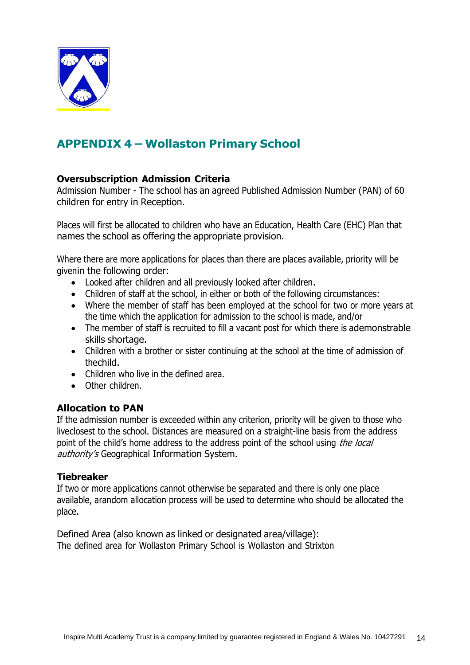

## <span id="page-13-0"></span>**APPENDIX 4 – Wollaston Primary School**

#### **Oversubscription Admission Criteria**

Admission Number - The school has an agreed Published Admission Number (PAN) of 60 children for entry in Reception.

Places will first be allocated to children who have an Education, Health Care (EHC) Plan that names the school as offering the appropriate provision.

Where there are more applications for places than there are places available, priority will be givenin the following order:

- Looked after children and all previously looked after children.
- Children of staff at the school, in either or both of the following circumstances:
- Where the member of staff has been employed at the school for two or more years at the time which the application for admission to the school is made, and/or
- The member of staff is recruited to fill a vacant post for which there is ademonstrable skills shortage.
- Children with a brother or sister continuing at the school at the time of admission of thechild.
- Children who live in the defined area.
- Other children.

#### **Allocation to PAN**

If the admission number is exceeded within any criterion, priority will be given to those who liveclosest to the school. Distances are measured on a straight-line basis from the address point of the child's home address to the address point of the school using *the local* authority's Geographical Information System.

#### **Tiebreaker**

If two or more applications cannot otherwise be separated and there is only one place available, arandom allocation process will be used to determine who should be allocated the place.

Defined Area (also known as linked or designated area/village): The defined area for Wollaston Primary School is Wollaston and Strixton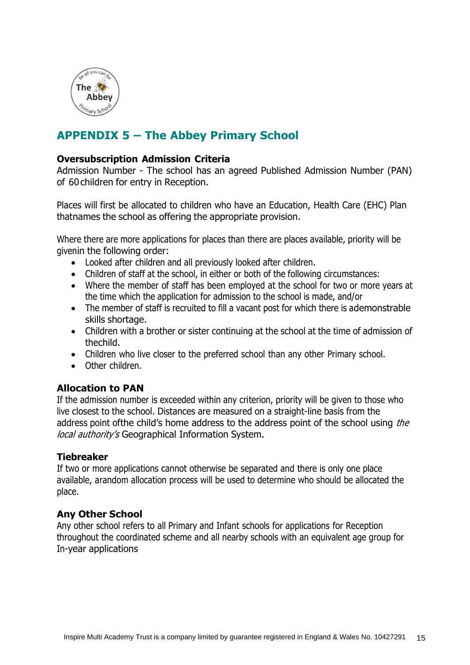

## <span id="page-14-0"></span>**APPENDIX 5 – The Abbey Primary School**

#### **Oversubscription Admission Criteria**

Admission Number - The school has an agreed Published Admission Number (PAN) of 60 children for entry in Reception.

Places will first be allocated to children who have an Education, Health Care (EHC) Plan thatnames the school as offering the appropriate provision.

Where there are more applications for places than there are places available, priority will be givenin the following order:

- Looked after children and all previously looked after children.
- Children of staff at the school, in either or both of the following circumstances:
- Where the member of staff has been employed at the school for two or more years at the time which the application for admission to the school is made, and/or
- The member of staff is recruited to fill a vacant post for which there is ademonstrable skills shortage.
- Children with a brother or sister continuing at the school at the time of admission of thechild.
- Children who live closer to the preferred school than any other Primary school.
- Other children.

#### **Allocation to PAN**

If the admission number is exceeded within any criterion, priority will be given to those who live closest to the school. Distances are measured on a straight-line basis from the address point of the child's home address to the address point of the school using the local authority's Geographical Information System.

#### **Tiebreaker**

If two or more applications cannot otherwise be separated and there is only one place available, arandom allocation process will be used to determine who should be allocated the place.

#### **Any Other School**

Any other school refers to all Primary and Infant schools for applications for Reception throughout the coordinated scheme and all nearby schools with an equivalent age group for In-year applications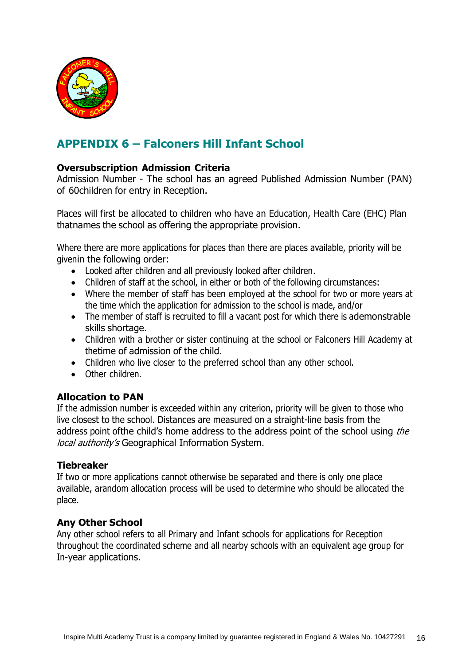

## <span id="page-15-0"></span>**APPENDIX 6 – Falconers Hill Infant School**

#### **Oversubscription Admission Criteria**

Admission Number - The school has an agreed Published Admission Number (PAN) of 60children for entry in Reception.

Places will first be allocated to children who have an Education, Health Care (EHC) Plan thatnames the school as offering the appropriate provision.

Where there are more applications for places than there are places available, priority will be givenin the following order:

- Looked after children and all previously looked after children.
- Children of staff at the school, in either or both of the following circumstances:
- Where the member of staff has been employed at the school for two or more years at the time which the application for admission to the school is made, and/or
- The member of staff is recruited to fill a vacant post for which there is ademonstrable skills shortage.
- Children with a brother or sister continuing at the school or Falconers Hill Academy at thetime of admission of the child.
- Children who live closer to the preferred school than any other school.
- Other children.

#### **Allocation to PAN**

If the admission number is exceeded within any criterion, priority will be given to those who live closest to the school. Distances are measured on a straight-line basis from the address point of the child's home address to the address point of the school using the local authority's Geographical Information System.

#### **Tiebreaker**

If two or more applications cannot otherwise be separated and there is only one place available, arandom allocation process will be used to determine who should be allocated the place.

#### **Any Other School**

Any other school refers to all Primary and Infant schools for applications for Reception throughout the coordinated scheme and all nearby schools with an equivalent age group for In-year applications.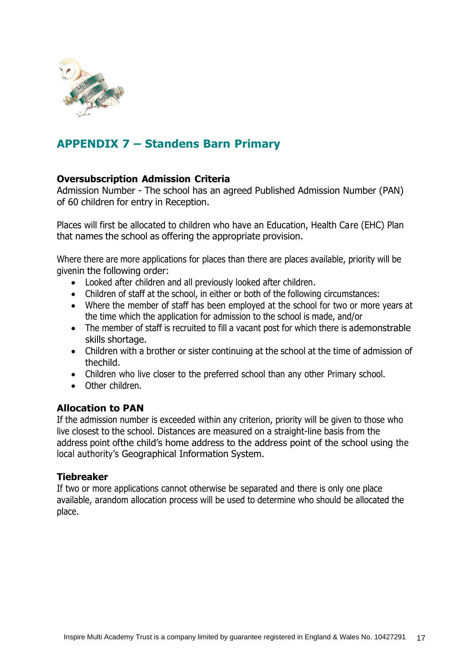

## <span id="page-16-0"></span>**APPENDIX 7 – Standens Barn Primary**

#### **Oversubscription Admission Criteria**

Admission Number - The school has an agreed Published Admission Number (PAN) of 60 children for entry in Reception.

Places will first be allocated to children who have an Education, Health Care (EHC) Plan that names the school as offering the appropriate provision.

Where there are more applications for places than there are places available, priority will be givenin the following order:

- Looked after children and all previously looked after children.
- Children of staff at the school, in either or both of the following circumstances:
- Where the member of staff has been employed at the school for two or more years at the time which the application for admission to the school is made, and/or
- The member of staff is recruited to fill a vacant post for which there is ademonstrable skills shortage.
- Children with a brother or sister continuing at the school at the time of admission of thechild.
- Children who live closer to the preferred school than any other Primary school.
- Other children.

#### **Allocation to PAN**

If the admission number is exceeded within any criterion, priority will be given to those who live closest to the school. Distances are measured on a straight-line basis from the address point ofthe child's home address to the address point of the school using the local authority's Geographical Information System.

#### **Tiebreaker**

If two or more applications cannot otherwise be separated and there is only one place available, arandom allocation process will be used to determine who should be allocated the place.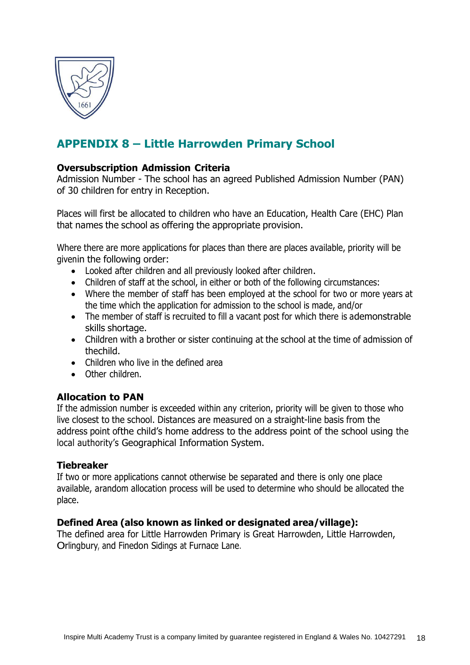

## <span id="page-17-0"></span>**APPENDIX 8 – Little Harrowden Primary School**

#### **Oversubscription Admission Criteria**

Admission Number - The school has an agreed Published Admission Number (PAN) of 30 children for entry in Reception.

Places will first be allocated to children who have an Education, Health Care (EHC) Plan that names the school as offering the appropriate provision.

Where there are more applications for places than there are places available, priority will be givenin the following order:

- Looked after children and all previously looked after children.
- Children of staff at the school, in either or both of the following circumstances:
- Where the member of staff has been employed at the school for two or more years at the time which the application for admission to the school is made, and/or
- The member of staff is recruited to fill a vacant post for which there is ademonstrable skills shortage.
- Children with a brother or sister continuing at the school at the time of admission of thechild.
- Children who live in the defined area
- Other children.

#### **Allocation to PAN**

If the admission number is exceeded within any criterion, priority will be given to those who live closest to the school. Distances are measured on a straight-line basis from the address point ofthe child's home address to the address point of the school using the local authority's Geographical Information System.

#### **Tiebreaker**

If two or more applications cannot otherwise be separated and there is only one place available, arandom allocation process will be used to determine who should be allocated the place.

#### **Defined Area (also known as linked or designated area/village):**

The defined area for Little Harrowden Primary is Great Harrowden, Little Harrowden, Orlingbury, and Finedon Sidings at Furnace Lane.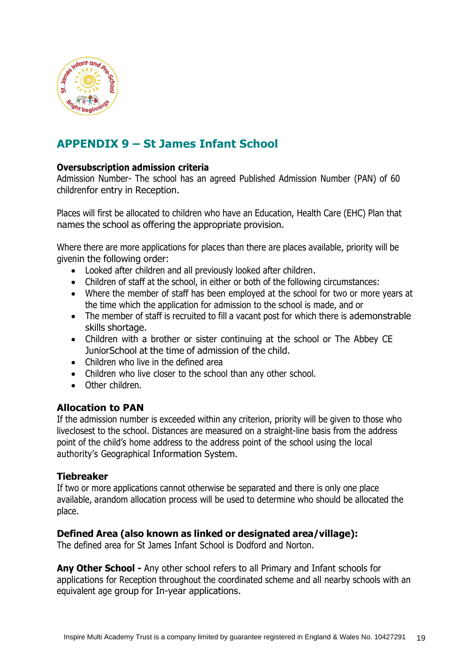

## <span id="page-18-0"></span>**APPENDIX 9 – St James Infant School**

#### **Oversubscription admission criteria**

Admission Number- The school has an agreed Published Admission Number (PAN) of 60 childrenfor entry in Reception.

Places will first be allocated to children who have an Education, Health Care (EHC) Plan that names the school as offering the appropriate provision.

Where there are more applications for places than there are places available, priority will be givenin the following order:

- Looked after children and all previously looked after children.
- Children of staff at the school, in either or both of the following circumstances:
- Where the member of staff has been employed at the school for two or more years at the time which the application for admission to the school is made, and or
- The member of staff is recruited to fill a vacant post for which there is ademonstrable skills shortage.
- Children with a brother or sister continuing at the school or The Abbey CE JuniorSchool at the time of admission of the child.
- Children who live in the defined area
- Children who live closer to the school than any other school.
- Other children.

#### **Allocation to PAN**

If the admission number is exceeded within any criterion, priority will be given to those who liveclosest to the school. Distances are measured on a straight-line basis from the address point of the child's home address to the address point of the school using the local authority's Geographical Information System.

#### **Tiebreaker**

If two or more applications cannot otherwise be separated and there is only one place available, arandom allocation process will be used to determine who should be allocated the place.

#### **Defined Area (also known as linked or designated area/village):**

The defined area for St James Infant School is Dodford and Norton.

**Any Other School -** Any other school refers to all Primary and Infant schools for applications for Reception throughout the coordinated scheme and all nearby schools with an equivalent age group for In-year applications.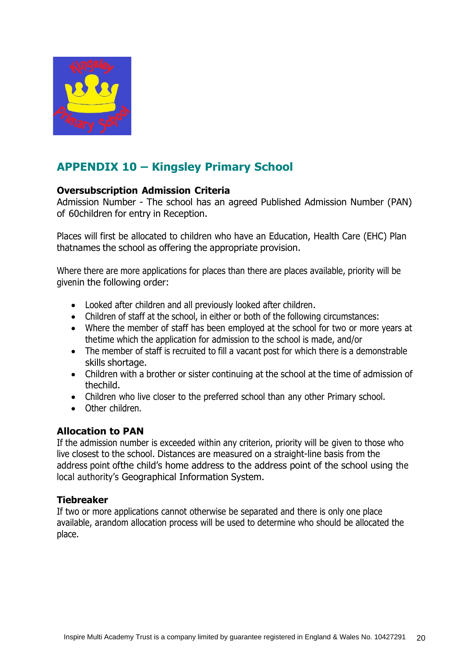

## <span id="page-19-0"></span>**APPENDIX 10 – Kingsley Primary School**

#### **Oversubscription Admission Criteria**

Admission Number - The school has an agreed Published Admission Number (PAN) of 60children for entry in Reception.

Places will first be allocated to children who have an Education, Health Care (EHC) Plan thatnames the school as offering the appropriate provision.

Where there are more applications for places than there are places available, priority will be givenin the following order:

- Looked after children and all previously looked after children.
- Children of staff at the school, in either or both of the following circumstances:
- Where the member of staff has been employed at the school for two or more years at thetime which the application for admission to the school is made, and/or
- The member of staff is recruited to fill a vacant post for which there is a demonstrable skills shortage.
- Children with a brother or sister continuing at the school at the time of admission of thechild.
- Children who live closer to the preferred school than any other Primary school.
- Other children.

#### **Allocation to PAN**

If the admission number is exceeded within any criterion, priority will be given to those who live closest to the school. Distances are measured on a straight-line basis from the address point ofthe child's home address to the address point of the school using the local authority's Geographical Information System.

#### **Tiebreaker**

If two or more applications cannot otherwise be separated and there is only one place available, arandom allocation process will be used to determine who should be allocated the place.